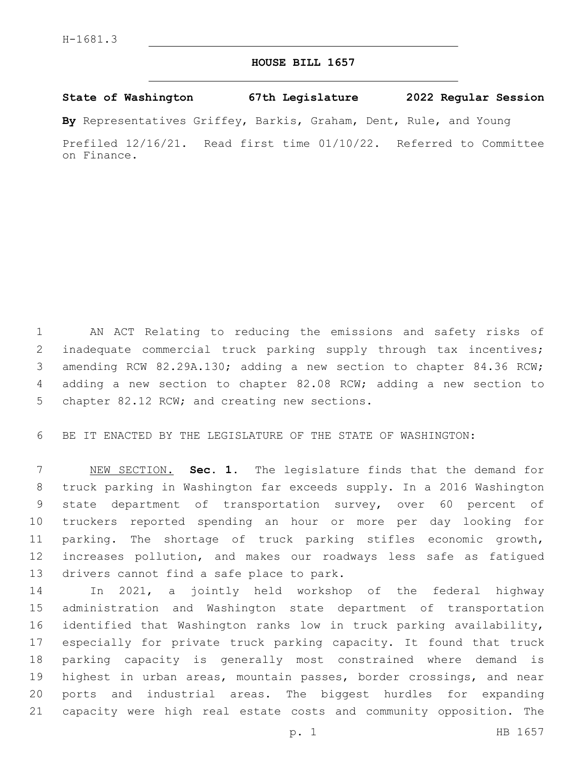## **HOUSE BILL 1657**

**State of Washington 67th Legislature 2022 Regular Session**

**By** Representatives Griffey, Barkis, Graham, Dent, Rule, and Young

Prefiled 12/16/21. Read first time 01/10/22. Referred to Committee on Finance.

 AN ACT Relating to reducing the emissions and safety risks of inadequate commercial truck parking supply through tax incentives; amending RCW 82.29A.130; adding a new section to chapter 84.36 RCW; adding a new section to chapter 82.08 RCW; adding a new section to 5 chapter 82.12 RCW; and creating new sections.

BE IT ENACTED BY THE LEGISLATURE OF THE STATE OF WASHINGTON:

 NEW SECTION. **Sec. 1.** The legislature finds that the demand for truck parking in Washington far exceeds supply. In a 2016 Washington state department of transportation survey, over 60 percent of truckers reported spending an hour or more per day looking for parking. The shortage of truck parking stifles economic growth, increases pollution, and makes our roadways less safe as fatigued drivers cannot find a safe place to park.

 In 2021, a jointly held workshop of the federal highway administration and Washington state department of transportation identified that Washington ranks low in truck parking availability, especially for private truck parking capacity. It found that truck parking capacity is generally most constrained where demand is highest in urban areas, mountain passes, border crossings, and near ports and industrial areas. The biggest hurdles for expanding capacity were high real estate costs and community opposition. The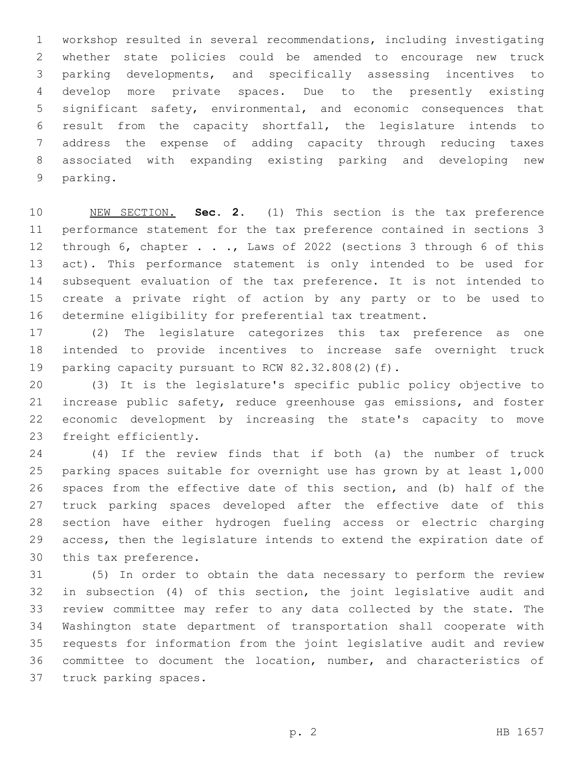workshop resulted in several recommendations, including investigating whether state policies could be amended to encourage new truck parking developments, and specifically assessing incentives to develop more private spaces. Due to the presently existing significant safety, environmental, and economic consequences that result from the capacity shortfall, the legislature intends to address the expense of adding capacity through reducing taxes associated with expanding existing parking and developing new 9 parking.

 NEW SECTION. **Sec. 2.** (1) This section is the tax preference performance statement for the tax preference contained in sections 3 through 6, chapter . . ., Laws of 2022 (sections 3 through 6 of this act). This performance statement is only intended to be used for subsequent evaluation of the tax preference. It is not intended to create a private right of action by any party or to be used to determine eligibility for preferential tax treatment.

 (2) The legislature categorizes this tax preference as one intended to provide incentives to increase safe overnight truck 19 parking capacity pursuant to RCW 82.32.808(2)(f).

 (3) It is the legislature's specific public policy objective to increase public safety, reduce greenhouse gas emissions, and foster economic development by increasing the state's capacity to move 23 freight efficiently.

 (4) If the review finds that if both (a) the number of truck parking spaces suitable for overnight use has grown by at least 1,000 spaces from the effective date of this section, and (b) half of the truck parking spaces developed after the effective date of this section have either hydrogen fueling access or electric charging access, then the legislature intends to extend the expiration date of 30 this tax preference.

 (5) In order to obtain the data necessary to perform the review in subsection (4) of this section, the joint legislative audit and review committee may refer to any data collected by the state. The Washington state department of transportation shall cooperate with requests for information from the joint legislative audit and review committee to document the location, number, and characteristics of 37 truck parking spaces.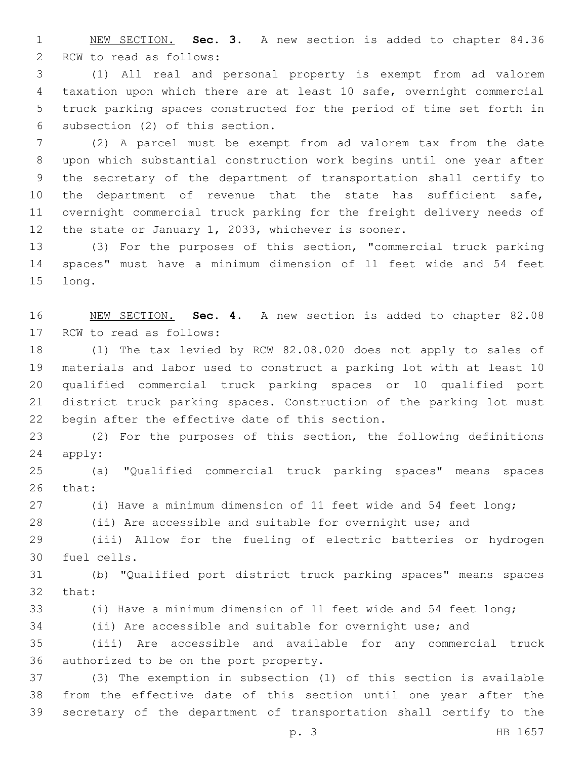NEW SECTION. **Sec. 3.** A new section is added to chapter 84.36 2 RCW to read as follows:

 (1) All real and personal property is exempt from ad valorem taxation upon which there are at least 10 safe, overnight commercial truck parking spaces constructed for the period of time set forth in 6 subsection (2) of this section.

 (2) A parcel must be exempt from ad valorem tax from the date upon which substantial construction work begins until one year after the secretary of the department of transportation shall certify to the department of revenue that the state has sufficient safe, overnight commercial truck parking for the freight delivery needs of the state or January 1, 2033, whichever is sooner.

 (3) For the purposes of this section, "commercial truck parking spaces" must have a minimum dimension of 11 feet wide and 54 feet 15 long.

 NEW SECTION. **Sec. 4.** A new section is added to chapter 82.08 17 RCW to read as follows:

 (1) The tax levied by RCW 82.08.020 does not apply to sales of materials and labor used to construct a parking lot with at least 10 qualified commercial truck parking spaces or 10 qualified port district truck parking spaces. Construction of the parking lot must 22 begin after the effective date of this section.

 (2) For the purposes of this section, the following definitions 24 apply:

 (a) "Qualified commercial truck parking spaces" means spaces 26 that:

(i) Have a minimum dimension of 11 feet wide and 54 feet long;

(ii) Are accessible and suitable for overnight use; and

 (iii) Allow for the fueling of electric batteries or hydrogen 30 fuel cells.

 (b) "Qualified port district truck parking spaces" means spaces 32 that:

(i) Have a minimum dimension of 11 feet wide and 54 feet long;

(ii) Are accessible and suitable for overnight use; and

 (iii) Are accessible and available for any commercial truck 36 authorized to be on the port property.

 (3) The exemption in subsection (1) of this section is available from the effective date of this section until one year after the secretary of the department of transportation shall certify to the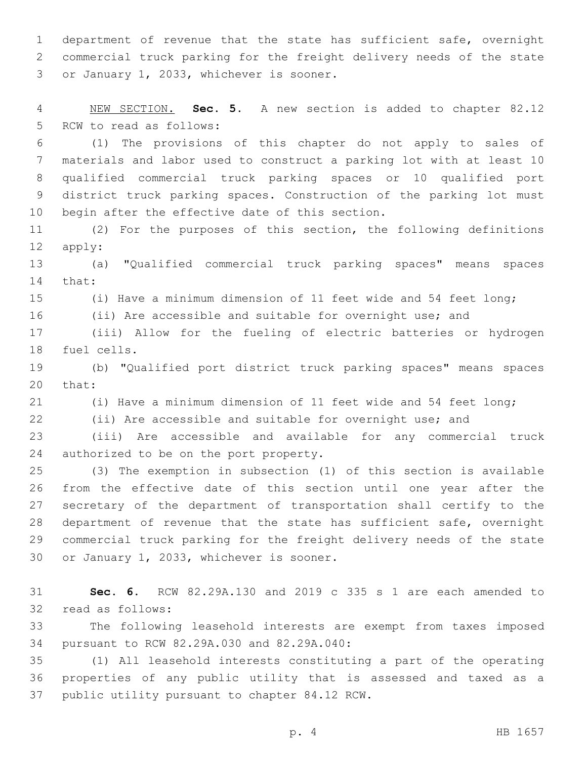department of revenue that the state has sufficient safe, overnight commercial truck parking for the freight delivery needs of the state 3 or January 1, 2033, whichever is sooner.

 NEW SECTION. **Sec. 5.** A new section is added to chapter 82.12 5 RCW to read as follows:

 (1) The provisions of this chapter do not apply to sales of materials and labor used to construct a parking lot with at least 10 qualified commercial truck parking spaces or 10 qualified port district truck parking spaces. Construction of the parking lot must 10 begin after the effective date of this section.

 (2) For the purposes of this section, the following definitions 12 apply:

 (a) "Qualified commercial truck parking spaces" means spaces 14 that:

(i) Have a minimum dimension of 11 feet wide and 54 feet long;

(ii) Are accessible and suitable for overnight use; and

 (iii) Allow for the fueling of electric batteries or hydrogen 18 fuel cells.

 (b) "Qualified port district truck parking spaces" means spaces 20 that:

(i) Have a minimum dimension of 11 feet wide and 54 feet long;

(ii) Are accessible and suitable for overnight use; and

 (iii) Are accessible and available for any commercial truck 24 authorized to be on the port property.

 (3) The exemption in subsection (1) of this section is available from the effective date of this section until one year after the secretary of the department of transportation shall certify to the department of revenue that the state has sufficient safe, overnight commercial truck parking for the freight delivery needs of the state 30 or January 1, 2033, whichever is sooner.

 **Sec. 6.** RCW 82.29A.130 and 2019 c 335 s 1 are each amended to 32 read as follows:

 The following leasehold interests are exempt from taxes imposed 34 pursuant to RCW 82.29A.030 and 82.29A.040:

 (1) All leasehold interests constituting a part of the operating properties of any public utility that is assessed and taxed as a 37 public utility pursuant to chapter 84.12 RCW.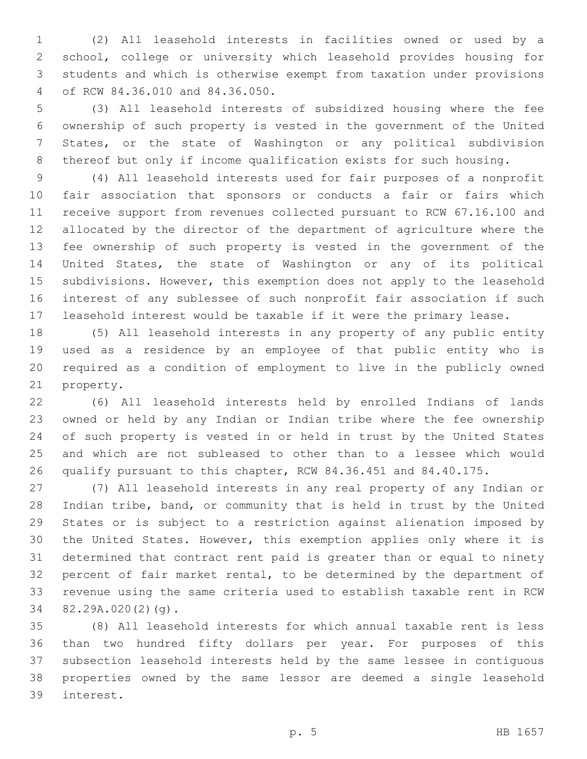(2) All leasehold interests in facilities owned or used by a school, college or university which leasehold provides housing for students and which is otherwise exempt from taxation under provisions of RCW 84.36.010 and 84.36.050.4

 (3) All leasehold interests of subsidized housing where the fee ownership of such property is vested in the government of the United States, or the state of Washington or any political subdivision thereof but only if income qualification exists for such housing.

 (4) All leasehold interests used for fair purposes of a nonprofit fair association that sponsors or conducts a fair or fairs which receive support from revenues collected pursuant to RCW 67.16.100 and allocated by the director of the department of agriculture where the fee ownership of such property is vested in the government of the United States, the state of Washington or any of its political subdivisions. However, this exemption does not apply to the leasehold interest of any sublessee of such nonprofit fair association if such leasehold interest would be taxable if it were the primary lease.

 (5) All leasehold interests in any property of any public entity used as a residence by an employee of that public entity who is required as a condition of employment to live in the publicly owned 21 property.

 (6) All leasehold interests held by enrolled Indians of lands owned or held by any Indian or Indian tribe where the fee ownership of such property is vested in or held in trust by the United States and which are not subleased to other than to a lessee which would qualify pursuant to this chapter, RCW 84.36.451 and 84.40.175.

 (7) All leasehold interests in any real property of any Indian or Indian tribe, band, or community that is held in trust by the United States or is subject to a restriction against alienation imposed by the United States. However, this exemption applies only where it is determined that contract rent paid is greater than or equal to ninety percent of fair market rental, to be determined by the department of revenue using the same criteria used to establish taxable rent in RCW 34 82.29A.020(2)(g).

 (8) All leasehold interests for which annual taxable rent is less than two hundred fifty dollars per year. For purposes of this subsection leasehold interests held by the same lessee in contiguous properties owned by the same lessor are deemed a single leasehold interest.39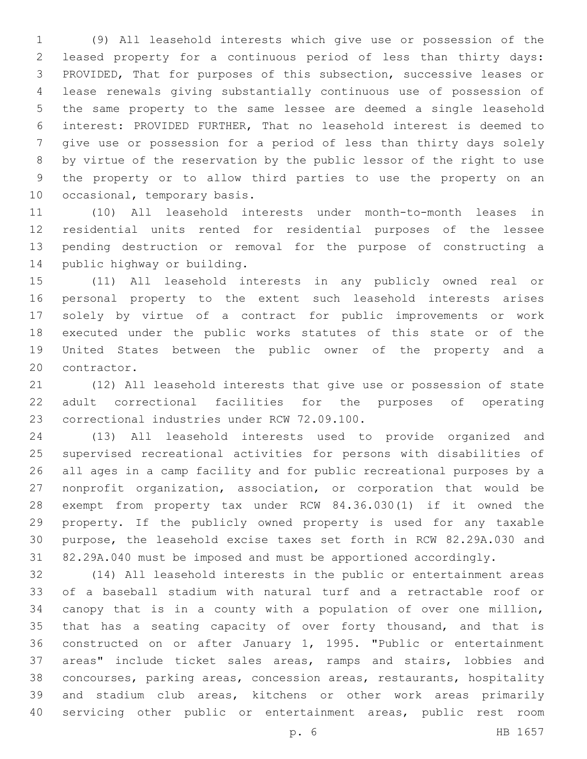(9) All leasehold interests which give use or possession of the leased property for a continuous period of less than thirty days: PROVIDED, That for purposes of this subsection, successive leases or lease renewals giving substantially continuous use of possession of the same property to the same lessee are deemed a single leasehold interest: PROVIDED FURTHER, That no leasehold interest is deemed to give use or possession for a period of less than thirty days solely by virtue of the reservation by the public lessor of the right to use the property or to allow third parties to use the property on an 10 occasional, temporary basis.

 (10) All leasehold interests under month-to-month leases in residential units rented for residential purposes of the lessee pending destruction or removal for the purpose of constructing a 14 public highway or building.

 (11) All leasehold interests in any publicly owned real or personal property to the extent such leasehold interests arises solely by virtue of a contract for public improvements or work executed under the public works statutes of this state or of the United States between the public owner of the property and a 20 contractor.

 (12) All leasehold interests that give use or possession of state adult correctional facilities for the purposes of operating 23 correctional industries under RCW 72.09.100.

 (13) All leasehold interests used to provide organized and supervised recreational activities for persons with disabilities of all ages in a camp facility and for public recreational purposes by a nonprofit organization, association, or corporation that would be exempt from property tax under RCW 84.36.030(1) if it owned the property. If the publicly owned property is used for any taxable purpose, the leasehold excise taxes set forth in RCW 82.29A.030 and 82.29A.040 must be imposed and must be apportioned accordingly.

 (14) All leasehold interests in the public or entertainment areas of a baseball stadium with natural turf and a retractable roof or canopy that is in a county with a population of over one million, that has a seating capacity of over forty thousand, and that is constructed on or after January 1, 1995. "Public or entertainment areas" include ticket sales areas, ramps and stairs, lobbies and concourses, parking areas, concession areas, restaurants, hospitality and stadium club areas, kitchens or other work areas primarily servicing other public or entertainment areas, public rest room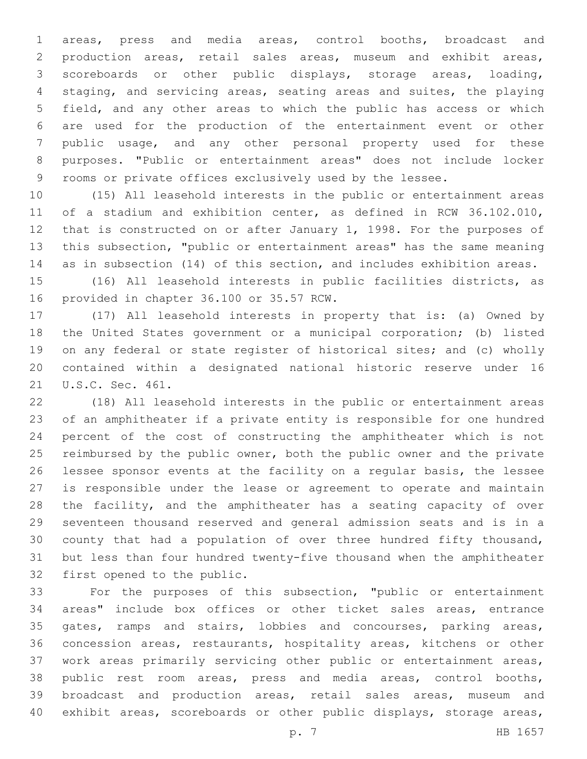areas, press and media areas, control booths, broadcast and production areas, retail sales areas, museum and exhibit areas, scoreboards or other public displays, storage areas, loading, staging, and servicing areas, seating areas and suites, the playing field, and any other areas to which the public has access or which are used for the production of the entertainment event or other public usage, and any other personal property used for these purposes. "Public or entertainment areas" does not include locker rooms or private offices exclusively used by the lessee.

 (15) All leasehold interests in the public or entertainment areas of a stadium and exhibition center, as defined in RCW 36.102.010, that is constructed on or after January 1, 1998. For the purposes of this subsection, "public or entertainment areas" has the same meaning as in subsection (14) of this section, and includes exhibition areas.

 (16) All leasehold interests in public facilities districts, as 16 provided in chapter 36.100 or 35.57 RCW.

 (17) All leasehold interests in property that is: (a) Owned by the United States government or a municipal corporation; (b) listed on any federal or state register of historical sites; and (c) wholly contained within a designated national historic reserve under 16 21 U.S.C. Sec. 461.

 (18) All leasehold interests in the public or entertainment areas of an amphitheater if a private entity is responsible for one hundred percent of the cost of constructing the amphitheater which is not 25 reimbursed by the public owner, both the public owner and the private lessee sponsor events at the facility on a regular basis, the lessee is responsible under the lease or agreement to operate and maintain the facility, and the amphitheater has a seating capacity of over seventeen thousand reserved and general admission seats and is in a county that had a population of over three hundred fifty thousand, but less than four hundred twenty-five thousand when the amphitheater 32 first opened to the public.

 For the purposes of this subsection, "public or entertainment areas" include box offices or other ticket sales areas, entrance gates, ramps and stairs, lobbies and concourses, parking areas, concession areas, restaurants, hospitality areas, kitchens or other work areas primarily servicing other public or entertainment areas, public rest room areas, press and media areas, control booths, broadcast and production areas, retail sales areas, museum and exhibit areas, scoreboards or other public displays, storage areas,

p. 7 HB 1657